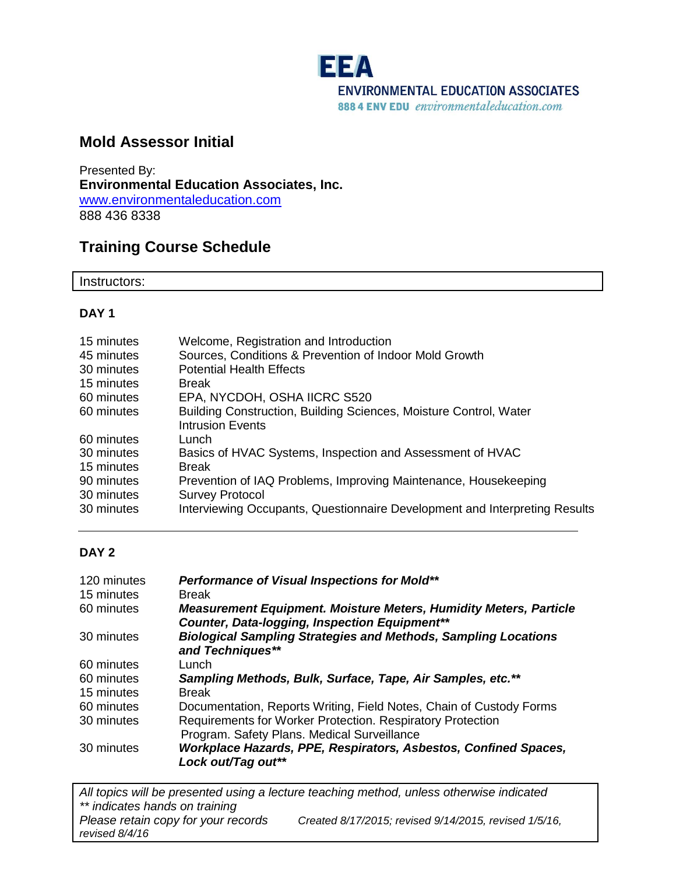

## **Mold Assessor Initial**

Presented By: **Environmental Education Associates, Inc.** [www.environmentaleducation.com](http://www.environmentaleducation.com/) 888 436 8338

## **Training Course Schedule**

Instructors:

#### **DAY 1**

| Welcome, Registration and Introduction                                                       |
|----------------------------------------------------------------------------------------------|
| Sources, Conditions & Prevention of Indoor Mold Growth                                       |
| <b>Potential Health Effects</b>                                                              |
| <b>Break</b>                                                                                 |
| EPA, NYCDOH, OSHA IICRC S520                                                                 |
| Building Construction, Building Sciences, Moisture Control, Water<br><b>Intrusion Events</b> |
| Lunch                                                                                        |
| Basics of HVAC Systems, Inspection and Assessment of HVAC                                    |
| <b>Break</b>                                                                                 |
| Prevention of IAQ Problems, Improving Maintenance, Housekeeping                              |
| <b>Survey Protocol</b>                                                                       |
| Interviewing Occupants, Questionnaire Development and Interpreting Results                   |
|                                                                                              |

#### **DAY 2**

| 120 minutes<br>15 minutes | Performance of Visual Inspections for Mold**<br><b>Break</b>                                                              |
|---------------------------|---------------------------------------------------------------------------------------------------------------------------|
|                           |                                                                                                                           |
| 60 minutes                | <b>Measurement Equipment. Moisture Meters, Humidity Meters, Particle</b><br>Counter, Data-logging, Inspection Equipment** |
| 30 minutes                | <b>Biological Sampling Strategies and Methods, Sampling Locations</b>                                                     |
|                           | and Techniques**                                                                                                          |
| 60 minutes                | Lunch                                                                                                                     |
| 60 minutes                | Sampling Methods, Bulk, Surface, Tape, Air Samples, etc.**                                                                |
| 15 minutes                | <b>Break</b>                                                                                                              |
| 60 minutes                | Documentation, Reports Writing, Field Notes, Chain of Custody Forms                                                       |
| 30 minutes                | Requirements for Worker Protection. Respiratory Protection                                                                |
|                           | Program. Safety Plans. Medical Surveillance                                                                               |
| 30 minutes                | Workplace Hazards, PPE, Respirators, Asbestos, Confined Spaces,<br>Lock out/Tag out**                                     |

*All topics will be presented using a lecture teaching method, unless otherwise indicated \*\* indicates hands on training Please retain copy for your records Created 8/17/2015; revised 9/14/2015, revised 1/5/16, revised 8/4/16*